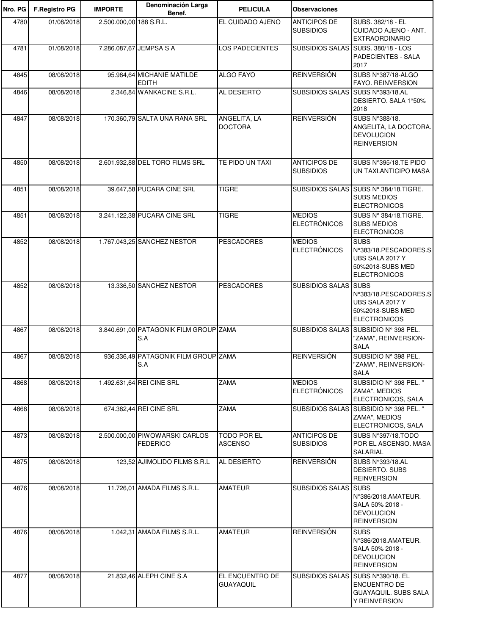| Nro. PG | <b>F.Registro PG</b> | <b>IMPORTE</b>          | Denominación Larga<br>Benef.                      | <b>PELICULA</b>                      | <b>Observaciones</b>                    |                                                                                                    |
|---------|----------------------|-------------------------|---------------------------------------------------|--------------------------------------|-----------------------------------------|----------------------------------------------------------------------------------------------------|
| 4780    | 01/08/2018           | 2.500.000,00 188 S.R.L. |                                                   | EL CUIDADO AJENO                     | <b>ANTICIPOS DE</b><br><b>SUBSIDIOS</b> | SUBS. 382/18 - EL<br>CUIDADO AJENO - ANT.<br><b>EXTRAORDINARIO</b>                                 |
| 4781    | 01/08/2018           |                         | 7.286.087,67 JEMPSA S A                           | LOS PADECIENTES                      | <b>SUBSIDIOS SALAS</b>                  | SUBS, 380/18 - LOS<br>PADECIENTES - SALA<br>2017                                                   |
| 4845    | 08/08/2018           |                         | 95.984,64 MICHANIE MATILDE<br><b>EDITH</b>        | <b>ALGO FAYO</b>                     | <b>REINVERSIÓN</b>                      | SUBS N°387/18-ALGO<br>FAYO. REINVERSION                                                            |
| 4846    | 08/08/2018           |                         | 2.346,84 WANKACINE S.R.L.                         | AL DESIERTO                          | SUBSIDIOS SALAS SUBS Nº393/18.AL        | DESIERTO. SALA 1°50%<br>2018                                                                       |
| 4847    | 08/08/2018           |                         | 170.360,79 SALTA UNA RANA SRL                     | ANGELITA, LA<br><b>DOCTORA</b>       | <b>REINVERSIÓN</b>                      | SUBS N°388/18.<br>ANGELITA, LA DOCTORA.<br><b>DEVOLUCION</b><br><b>REINVERSION</b>                 |
| 4850    | 08/08/2018           |                         | 2.601.932,88 DEL TORO FILMS SRL                   | TE PIDO UN TAXI                      | <b>ANTICIPOS DE</b><br><b>SUBSIDIOS</b> | SUBS N°395/18.TE PIDO<br>UN TAXI.ANTICIPO MASA                                                     |
| 4851    | 08/08/2018           |                         | 39.647,58 PUCARA CINE SRL                         | <b>TIGRE</b>                         |                                         | SUBSIDIOS SALAS SUBS Nº 384/18.TIGRE.<br><b>SUBS MEDIOS</b><br><b>ELECTRONICOS</b>                 |
| 4851    | 08/08/2018           |                         | 3.241.122,38 PUCARA CINE SRL                      | <b>TIGRE</b>                         | <b>MEDIOS</b><br><b>ELECTRÓNICOS</b>    | SUBS Nº 384/18.TIGRE.<br><b>SUBS MEDIOS</b><br><b>ELECTRONICOS</b>                                 |
| 4852    | 08/08/2018           |                         | 1.767.043,25 SANCHEZ NESTOR                       | <b>PESCADORES</b>                    | <b>MEDIOS</b><br><b>ELECTRÓNICOS</b>    | <b>SUBS</b><br>N°383/18.PESCADORES.S<br>UBS SALA 2017 Y<br>50%2018-SUBS MED<br><b>ELECTRONICOS</b> |
| 4852    | 08/08/2018           |                         | 13.336,50 SANCHEZ NESTOR                          | <b>PESCADORES</b>                    | SUBSIDIOS SALAS SUBS                    | N°383/18.PESCADORES.S<br>UBS SALA 2017 Y<br>50%2018-SUBS MED<br><b>ELECTRONICOS</b>                |
| 4867    | 08/08/2018           |                         | 3.840.691,00 PATAGONIK FILM GROUP ZAMA<br>S.A     |                                      |                                         | SUBSIDIOS SALAS SUBSIDIO Nº 398 PEL.<br>"ZAMA", REINVERSION-<br><b>SALA</b>                        |
| 4867    | 08/08/2018           |                         | 936.336,49 PATAGONIK FILM GROUP ZAMA<br>S.A       |                                      | <b>REINVERSIÓN</b>                      | SUBSIDIO Nº 398 PEL.<br>'ZAMA", REINVERSION-<br><b>SALA</b>                                        |
| 4868    | 08/08/2018           |                         | 1.492.631,64 REI CINE SRL                         | <b>ZAMA</b>                          | <b>MEDIOS</b><br><b>ELECTRÓNICOS</b>    | SUBSIDIO Nº 398 PEL. "<br>ZAMA", MEDIOS<br>ELECTRONICOS, SALA                                      |
| 4868    | 08/08/2018           |                         | 674.382,44 REI CINE SRL                           | <b>ZAMA</b>                          |                                         | SUBSIDIOS SALAS SUBSIDIO Nº 398 PEL. "<br>ZAMA", MEDIOS<br>ELECTRONICOS, SALA                      |
| 4873    | 08/08/2018           |                         | 2.500.000,00 PIWOWARSKI CARLOS<br><b>FEDERICO</b> | <b>TODO POR EL</b><br><b>ASCENSO</b> | <b>ANTICIPOS DE</b><br><b>SUBSIDIOS</b> | SUBS N°397/18.TODO<br>POR EL ASCENSO. MASA<br><b>SALARIAL</b>                                      |
| 4875    | 08/08/2018           |                         | 123,52 AJIMOLIDO FILMS S.R.L                      | AL DESIERTO                          | <b>REINVERSIÓN</b>                      | SUBS N°393/18.AL<br>DESIERTO. SUBS<br><b>REINVERSION</b>                                           |
| 4876    | 08/08/2018           |                         | 11.726,01 AMADA FILMS S.R.L.                      | <b>AMATEUR</b>                       | <b>SUBSIDIOS SALAS SUBS</b>             | N°386/2018.AMATEUR.<br>SALA 50% 2018 -<br><b>DEVOLUCION</b><br><b>REINVERSION</b>                  |
| 4876    | 08/08/2018           |                         | 1.042,31 AMADA FILMS S.R.L.                       | <b>AMATEUR</b>                       | <b>REINVERSIÓN</b>                      | <b>SUBS</b><br>N°386/2018.AMATEUR.<br>SALA 50% 2018 -<br><b>DEVOLUCION</b><br><b>REINVERSION</b>   |
| 4877    | 08/08/2018           |                         | 21.832,46 ALEPH CINE S.A                          | EL ENCUENTRO DE<br><b>GUAYAQUIL</b>  |                                         | SUBSIDIOS SALAS SUBS N°390/18. EL<br><b>ENCUENTRO DE</b><br>GUAYAQUIL. SUBS SALA<br>Y REINVERSION  |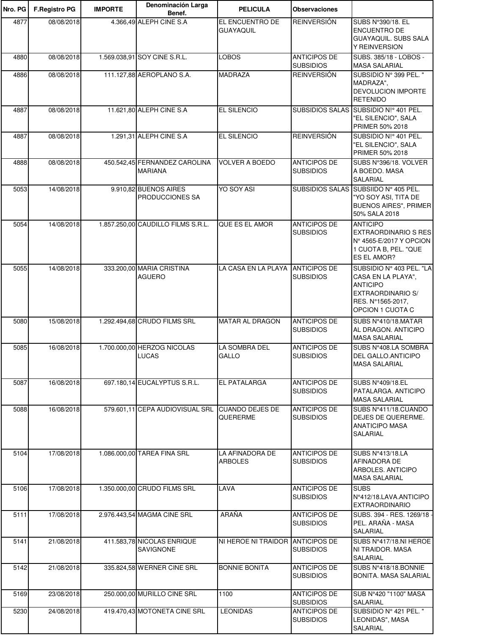| Nro. PG | <b>F.Registro PG</b> | <b>IMPORTE</b> | Denominación Larga<br>Benef.                    | <b>PELICULA</b>                   | <b>Observaciones</b>                    |                                                                                                                                 |
|---------|----------------------|----------------|-------------------------------------------------|-----------------------------------|-----------------------------------------|---------------------------------------------------------------------------------------------------------------------------------|
| 4877    | 08/08/2018           |                | 4.366,49 ALEPH CINE S.A                         | EL ENCUENTRO DE<br>GUAYAQUIL      | <b>REINVERSIÓN</b>                      | SUBS N°390/18. EL<br>ENCUENTRO DE<br>GUAYAQUIL. SUBS SALA<br>Y REINVERSION                                                      |
| 4880    | 08/08/2018           |                | 1.569.038,91 SOY CINE S.R.L.                    | <b>LOBOS</b>                      | <b>ANTICIPOS DE</b><br><b>SUBSIDIOS</b> | SUBS. 385/18 - LOBOS -<br><b>MASA SALARIAL</b>                                                                                  |
| 4886    | 08/08/2018           |                | 111.127,88 AEROPLANO S.A.                       | <b>MADRAZA</b>                    | <b>REINVERSIÓN</b>                      | SUBSIDIO Nº 399 PEL. "<br>MADRAZA",<br>DEVOLUCION IMPORTE<br><b>RETENIDO</b>                                                    |
| 4887    | 08/08/2018           |                | 11.621,80 ALEPH CINE S.A                        | <b>EL SILENCIO</b>                |                                         | SUBSIDIOS SALAS SUBSIDIO N!º 401 PEL.<br>"EL SILENCIO", SALA<br>PRIMER 50% 2018                                                 |
| 4887    | 08/08/2018           |                | 1.291,31 ALEPH CINE S.A                         | EL SILENCIO                       | <b>REINVERSIÓN</b>                      | SUBSIDIO N!º 401 PEL.<br>"EL SILENCIO", SALA<br>PRIMER 50% 2018                                                                 |
| 4888    | 08/08/2018           |                | 450.542,45 FERNANDEZ CAROLINA<br><b>MARIANA</b> | <b>VOLVER A BOEDO</b>             | <b>ANTICIPOS DE</b><br><b>SUBSIDIOS</b> | SUBS N°396/18. VOLVER<br>A BOEDO. MASA<br>SALARIAL                                                                              |
| 5053    | 14/08/2018           |                | 9.910,82 BUENOS AIRES<br>PRODUCCIONES SA        | YO SOY ASI                        |                                         | SUBSIDIOS SALAS SUBSIIDO Nº 405 PEL.<br>"YO SOY ASI, TITA DE<br><b>BUENOS AIRES", PRIMER</b><br>50% SALA 2018                   |
| 5054    | 14/08/2018           |                | 1.857.250,00 CAUDILLO FILMS S.R.L.              | <b>QUE ES EL AMOR</b>             | <b>ANTICIPOS DE</b><br><b>SUBSIDIOS</b> | <b>ANTICIPO</b><br>EXTRAORDINARIO S RES<br>N° 4565-E/2017 Y OPCION<br>1 CUOTA B, PEL. "QUE<br>ES EL AMOR?                       |
| 5055    | 14/08/2018           |                | 333.200,00 MARIA CRISTINA<br><b>AGUERO</b>      | LA CASA EN LA PLAYA ANTICIPOS DE  | <b>SUBSIDIOS</b>                        | SUBSIDIO Nº 403 PEL. "LA<br>CASA EN LA PLAYA",<br><b>ANTICIPO</b><br>EXTRAORDINARIO S/<br>RES. N°1565-2017.<br>OPCION 1 CUOTA C |
| 5080    | 15/08/2018           |                | 1.292.494,68 CRUDO FILMS SRL                    | <b>MATAR AL DRAGON</b>            | <b>ANTICIPOS DE</b><br><b>SUBSIDIOS</b> | SUBS N°410/18.MATAR<br>AL DRAGON. ANTICIPO<br><b>MASA SALARIAL</b>                                                              |
| 5085    | 16/08/2018           |                | 1.700.000,00 HERZOG NICOLAS<br><b>LUCAS</b>     | LA SOMBRA DEL<br>GALLO            | <b>ANTICIPOS DE</b><br><b>SUBSIDIOS</b> | SUBS N°408.LA SOMBRA<br>DEL GALLO.ANTICIPO<br><b>MASA SALARIAL</b>                                                              |
| 5087    | 16/08/2018           |                | 697.180,14 EUCALYPTUS S.R.L.                    | <b>EL PATALARGA</b>               | <b>ANTICIPOS DE</b><br><b>SUBSIDIOS</b> | SUBS N°409/18.EL<br>PATALARGA, ANTICIPO<br><b>MASA SALARIAL</b>                                                                 |
| 5088    | 16/08/2018           |                | 579.601,11 CEPA AUDIOVISUAL SRL CUANDO DEJES DE | QUERERME                          | <b>ANTICIPOS DE</b><br><b>SUBSIDIOS</b> | SUBS N°411/18.CUANDO<br>DEJES DE QUERERME.<br>ANATICIPO MASA<br>SALARIAL                                                        |
| 5104    | 17/08/2018           |                | 1.086.000,00 TAREA FINA SRL                     | LA AFINADORA DE<br><b>ARBOLES</b> | <b>ANTICIPOS DE</b><br><b>SUBSIDIOS</b> | SUBS N°413/18.LA<br>AFINADORA DE<br>ARBOLES. ANTICIPO<br><b>MASA SALARIAL</b>                                                   |
| 5106    | 17/08/2018           |                | 1.350.000,00 CRUDO FILMS SRL                    | LAVA                              | <b>ANTICIPOS DE</b><br><b>SUBSIDIOS</b> | <b>SUBS</b><br>N°412/18.LAVA.ANTICIPO<br><b>EXTRAORDINARIO</b>                                                                  |
| 5111    | 17/08/2018           |                | 2.976.443,54 MAGMA CINE SRL                     | ARAÑA                             | <b>ANTICIPOS DE</b><br><b>SUBSIDIOS</b> | SUBS. 394 - RES. 1269/18 -<br>PEL. ARAÑA - MASA<br>SALARIAL                                                                     |
| 5141    | 21/08/2018           |                | 411.583,78 NICOLAS ENRIQUE<br>SAVIGNONE         | NI HEROE NI TRAIDOR ANTICIPOS DE  | <b>SUBSIDIOS</b>                        | SUBS N°417/18.NI HEROE<br>NI TRAIDOR. MASA<br>SALARIAL                                                                          |
| 5142    | 21/08/2018           |                | 335.824,58 WERNER CINE SRL                      | <b>BONNIE BONITA</b>              | <b>ANTICIPOS DE</b><br><b>SUBSIDIOS</b> | SUBS N°418/18.BONNIE<br>BONITA. MASA SALARIAL                                                                                   |
| 5169    | 23/08/2018           |                | 250.000,00 MURILLO CINE SRL                     | 1100                              | <b>ANTICIPOS DE</b><br><b>SUBSIDIOS</b> | SUB N°420 "1100" MASA<br>SALARIAL                                                                                               |
| 5230    | 24/08/2018           |                | 419.470,43 MOTONETA CINE SRL                    | <b>LEONIDAS</b>                   | <b>ANTICIPOS DE</b><br><b>SUBSIDIOS</b> | SUBSIDIO Nº 421 PEL. "<br>LEONIDAS", MASA<br><b>SALARIAL</b>                                                                    |